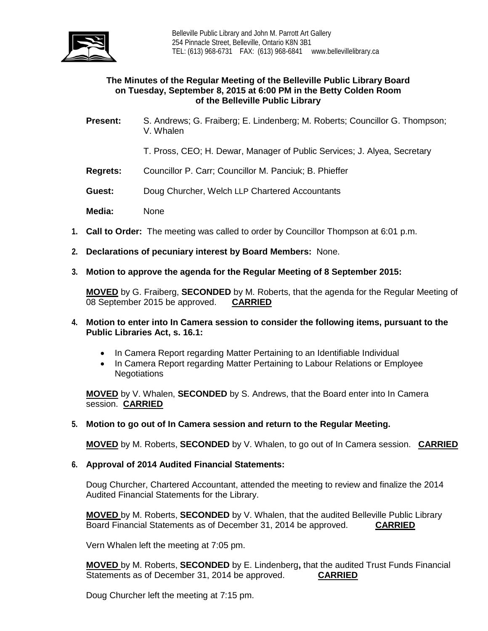

# **The Minutes of the Regular Meeting of the Belleville Public Library Board on Tuesday, September 8, 2015 at 6:00 PM in the Betty Colden Room of the Belleville Public Library**

- **Present:** S. Andrews; G. Fraiberg; E. Lindenberg; M. Roberts; Councillor G. Thompson; V. Whalen
	- T. Pross, CEO; H. Dewar, Manager of Public Services; J. Alyea, Secretary
- **Regrets:** Councillor P. Carr; Councillor M. Panciuk; B. Phieffer
- **Guest:** Doug Churcher, Welch LLP Chartered Accountants

**Media:** None

- **1. Call to Order:** The meeting was called to order by Councillor Thompson at 6:01 p.m.
- **2. Declarations of pecuniary interest by Board Members:** None.
- **3. Motion to approve the agenda for the Regular Meeting of 8 September 2015:**

**MOVED** by G. Fraiberg, **SECONDED** by M. Roberts, that the agenda for the Regular Meeting of 08 September 2015 be approved. **CARRIED**

- **4. Motion to enter into In Camera session to consider the following items, pursuant to the Public Libraries Act, s. 16.1:** 
	- In Camera Report regarding Matter Pertaining to an Identifiable Individual
	- In Camera Report regarding Matter Pertaining to Labour Relations or Employee **Negotiations**

**MOVED** by V. Whalen, **SECONDED** by S. Andrews, that the Board enter into In Camera session. **CARRIED**

**5. Motion to go out of In Camera session and return to the Regular Meeting.** 

**MOVED** by M. Roberts, **SECONDED** by V. Whalen, to go out of In Camera session. **CARRIED**

## **6. Approval of 2014 Audited Financial Statements:**

Doug Churcher, Chartered Accountant, attended the meeting to review and finalize the 2014 Audited Financial Statements for the Library.

**MOVED** by M. Roberts, **SECONDED** by V. Whalen, that the audited Belleville Public Library Board Financial Statements as of December 31, 2014 be approved. **CARRIED**

Vern Whalen left the meeting at 7:05 pm.

**MOVED** by M. Roberts, **SECONDED** by E. Lindenberg**,** that the audited Trust Funds Financial Statements as of December 31, 2014 be approved.

Doug Churcher left the meeting at 7:15 pm.